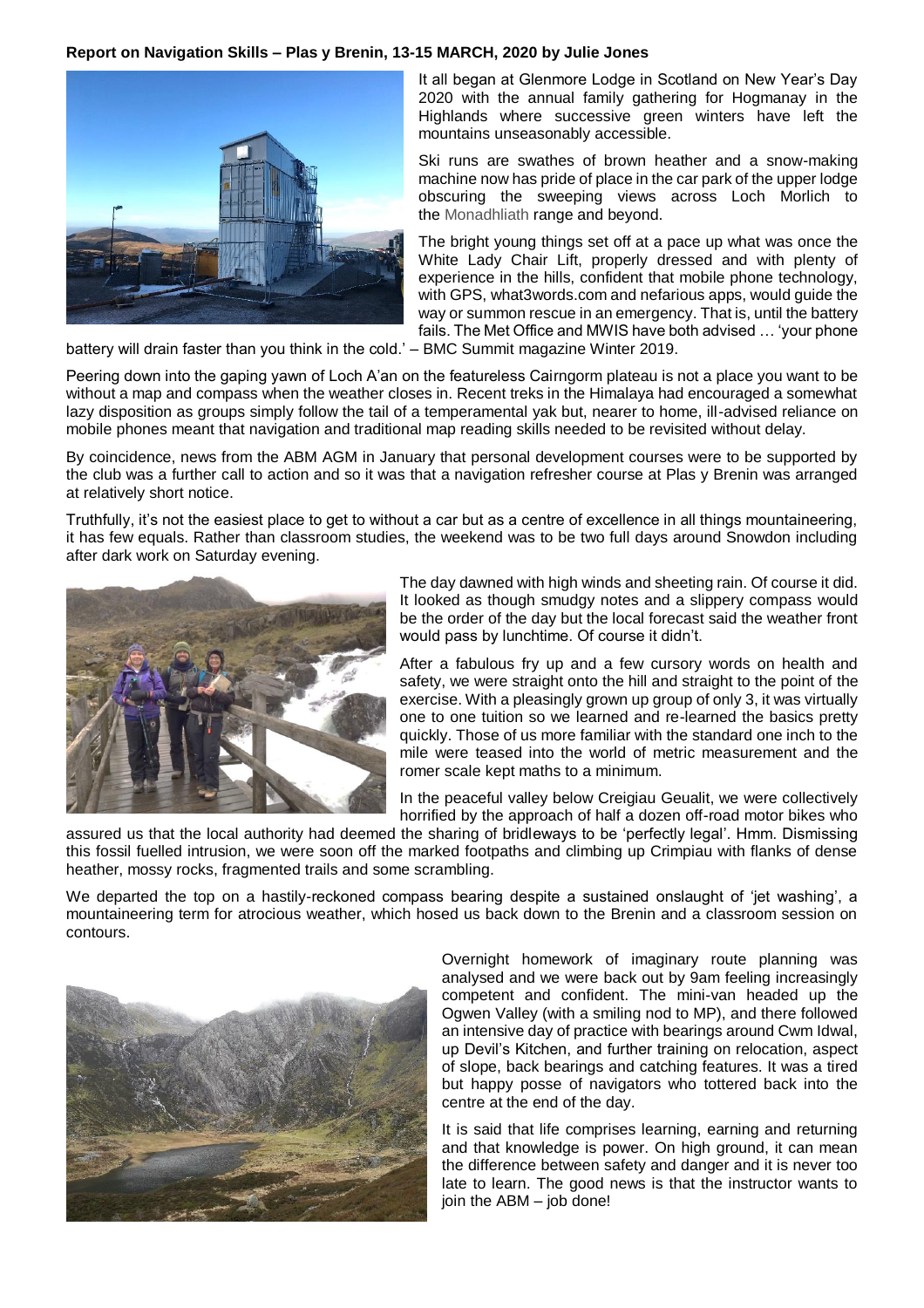## **Report on Navigation Skills – Plas y Brenin, 13-15 MARCH, 2020 by Julie Jones**



It all began at Glenmore Lodge in Scotland on New Year's Day 2020 with the annual family gathering for Hogmanay in the Highlands where successive green winters have left the mountains unseasonably accessible.

Ski runs are swathes of brown heather and a snow-making machine now has pride of place in the car park of the upper lodge obscuring the sweeping views across Loch Morlich to the Monadhliath range and beyond.

The bright young things set off at a pace up what was once the White Lady Chair Lift, properly dressed and with plenty of experience in the hills, confident that mobile phone technology, with GPS, what3words.com and nefarious apps, would guide the way or summon rescue in an emergency. That is, until the battery fails. The Met Office and MWIS have both advised … 'your phone

battery will drain faster than you think in the cold.' – BMC Summit magazine Winter 2019.

Peering down into the gaping yawn of Loch A'an on the featureless Cairngorm plateau is not a place you want to be without a map and compass when the weather closes in. Recent treks in the Himalaya had encouraged a somewhat lazy disposition as groups simply follow the tail of a temperamental yak but, nearer to home, ill-advised reliance on mobile phones meant that navigation and traditional map reading skills needed to be revisited without delay.

By coincidence, news from the ABM AGM in January that personal development courses were to be supported by the club was a further call to action and so it was that a navigation refresher course at Plas y Brenin was arranged at relatively short notice.

Truthfully, it's not the easiest place to get to without a car but as a centre of excellence in all things mountaineering, it has few equals. Rather than classroom studies, the weekend was to be two full days around Snowdon including after dark work on Saturday evening.



The day dawned with high winds and sheeting rain. Of course it did. It looked as though smudgy notes and a slippery compass would be the order of the day but the local forecast said the weather front would pass by lunchtime. Of course it didn't.

After a fabulous fry up and a few cursory words on health and safety, we were straight onto the hill and straight to the point of the exercise. With a pleasingly grown up group of only 3, it was virtually one to one tuition so we learned and re-learned the basics pretty quickly. Those of us more familiar with the standard one inch to the mile were teased into the world of metric measurement and the romer scale kept maths to a minimum.

In the peaceful valley below Creigiau Geualit, we were collectively horrified by the approach of half a dozen off-road motor bikes who

assured us that the local authority had deemed the sharing of bridleways to be 'perfectly legal'. Hmm. Dismissing this fossil fuelled intrusion, we were soon off the marked footpaths and climbing up Crimpiau with flanks of dense heather, mossy rocks, fragmented trails and some scrambling.

We departed the top on a hastily-reckoned compass bearing despite a sustained onslaught of 'jet washing', a mountaineering term for atrocious weather, which hosed us back down to the Brenin and a classroom session on contours.



Overnight homework of imaginary route planning was analysed and we were back out by 9am feeling increasingly competent and confident. The mini-van headed up the Ogwen Valley (with a smiling nod to MP), and there followed an intensive day of practice with bearings around Cwm Idwal, up Devil's Kitchen, and further training on relocation, aspect of slope, back bearings and catching features. It was a tired but happy posse of navigators who tottered back into the centre at the end of the day.

It is said that life comprises learning, earning and returning and that knowledge is power. On high ground, it can mean the difference between safety and danger and it is never too late to learn. The good news is that the instructor wants to join the ABM – job done!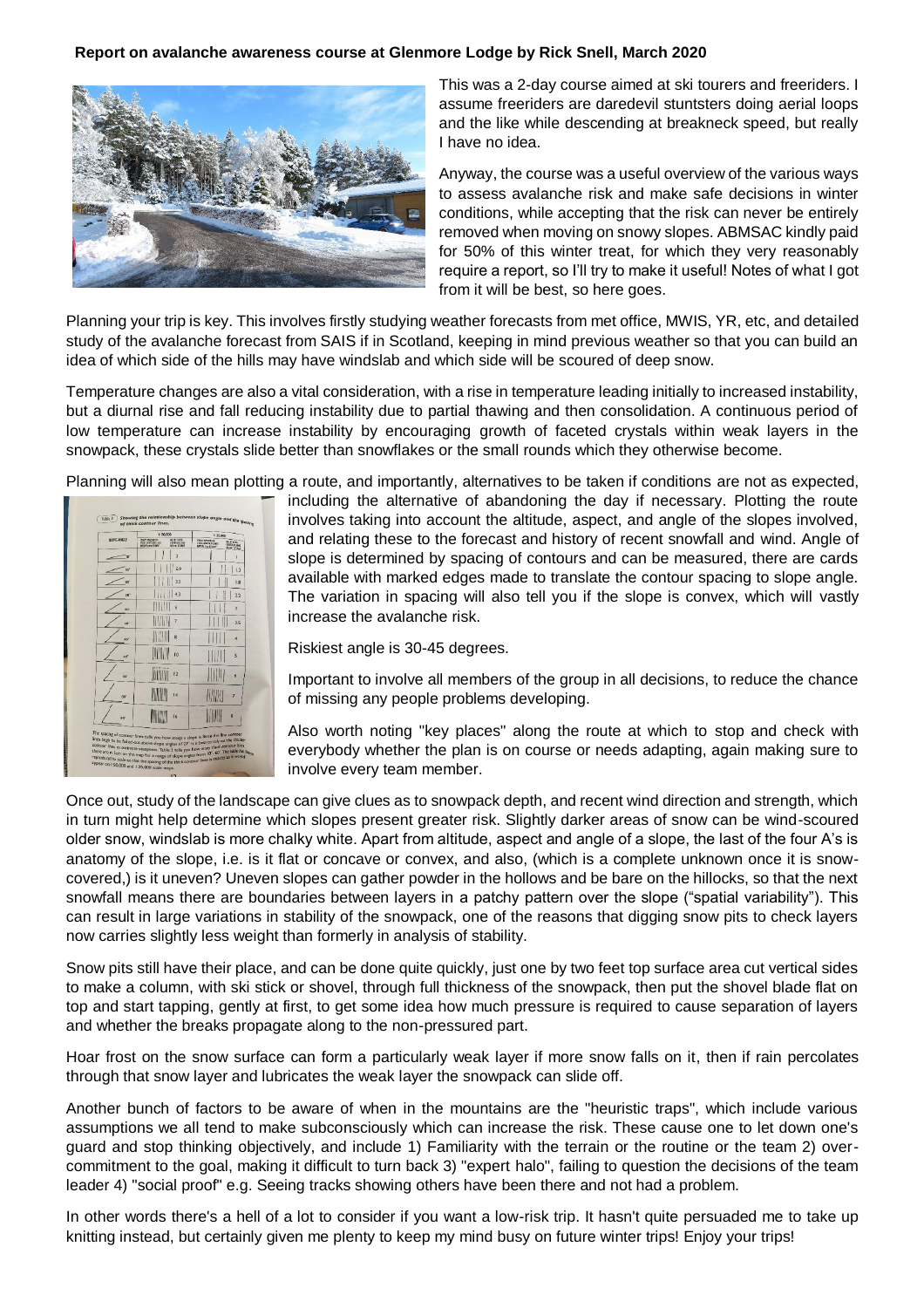## **Report on avalanche awareness course at Glenmore Lodge by Rick Snell, March 2020**



This was a 2-day course aimed at ski tourers and freeriders. I assume freeriders are daredevil stuntsters doing aerial loops and the like while descending at breakneck speed, but really I have no idea.

Anyway, the course was a useful overview of the various ways to assess avalanche risk and make safe decisions in winter conditions, while accepting that the risk can never be entirely removed when moving on snowy slopes. ABMSAC kindly paid for 50% of this winter treat, for which they very reasonably require a report, so I'll try to make it useful! Notes of what I got from it will be best, so here goes.

Planning your trip is key. This involves firstly studying weather forecasts from met office, MWIS, YR, etc, and detailed study of the avalanche forecast from SAIS if in Scotland, keeping in mind previous weather so that you can build an idea of which side of the hills may have windslab and which side will be scoured of deep snow.

Temperature changes are also a vital consideration, with a rise in temperature leading initially to increased instability, but a diurnal rise and fall reducing instability due to partial thawing and then consolidation. A continuous period of low temperature can increase instability by encouraging growth of faceted crystals within weak layers in the snowpack, these crystals slide better than snowflakes or the small rounds which they otherwise become.

Planning will also mean plotting a route, and importantly, alternatives to be taken if conditions are not as expected,



including the alternative of abandoning the day if necessary. Plotting the route involves taking into account the altitude, aspect, and angle of the slopes involved, and relating these to the forecast and history of recent snowfall and wind. Angle of slope is determined by spacing of contours and can be measured, there are cards available with marked edges made to translate the contour spacing to slope angle. The variation in spacing will also tell you if the slope is convex, which will vastly increase the avalanche risk.

Riskiest angle is 30-45 degrees.

Important to involve all members of the group in all decisions, to reduce the chance of missing any people problems developing.

Also worth noting "key places" along the route at which to stop and check with everybody whether the plan is on course or needs adapting, again making sure to involve every team member.

Once out, study of the landscape can give clues as to snowpack depth, and recent wind direction and strength, which in turn might help determine which slopes present greater risk. Slightly darker areas of snow can be wind-scoured older snow, windslab is more chalky white. Apart from altitude, aspect and angle of a slope, the last of the four A's is anatomy of the slope, i.e. is it flat or concave or convex, and also, (which is a complete unknown once it is snowcovered,) is it uneven? Uneven slopes can gather powder in the hollows and be bare on the hillocks, so that the next snowfall means there are boundaries between layers in a patchy pattern over the slope ("spatial variability"). This can result in large variations in stability of the snowpack, one of the reasons that digging snow pits to check layers now carries slightly less weight than formerly in analysis of stability.

Snow pits still have their place, and can be done quite quickly, just one by two feet top surface area cut vertical sides to make a column, with ski stick or shovel, through full thickness of the snowpack, then put the shovel blade flat on top and start tapping, gently at first, to get some idea how much pressure is required to cause separation of layers and whether the breaks propagate along to the non-pressured part.

Hoar frost on the snow surface can form a particularly weak layer if more snow falls on it, then if rain percolates through that snow layer and lubricates the weak layer the snowpack can slide off.

Another bunch of factors to be aware of when in the mountains are the "heuristic traps", which include various assumptions we all tend to make subconsciously which can increase the risk. These cause one to let down one's guard and stop thinking objectively, and include 1) Familiarity with the terrain or the routine or the team 2) overcommitment to the goal, making it difficult to turn back 3) "expert halo", failing to question the decisions of the team leader 4) "social proof" e.g. Seeing tracks showing others have been there and not had a problem.

In other words there's a hell of a lot to consider if you want a low-risk trip. It hasn't quite persuaded me to take up knitting instead, but certainly given me plenty to keep my mind busy on future winter trips! Enjoy your trips!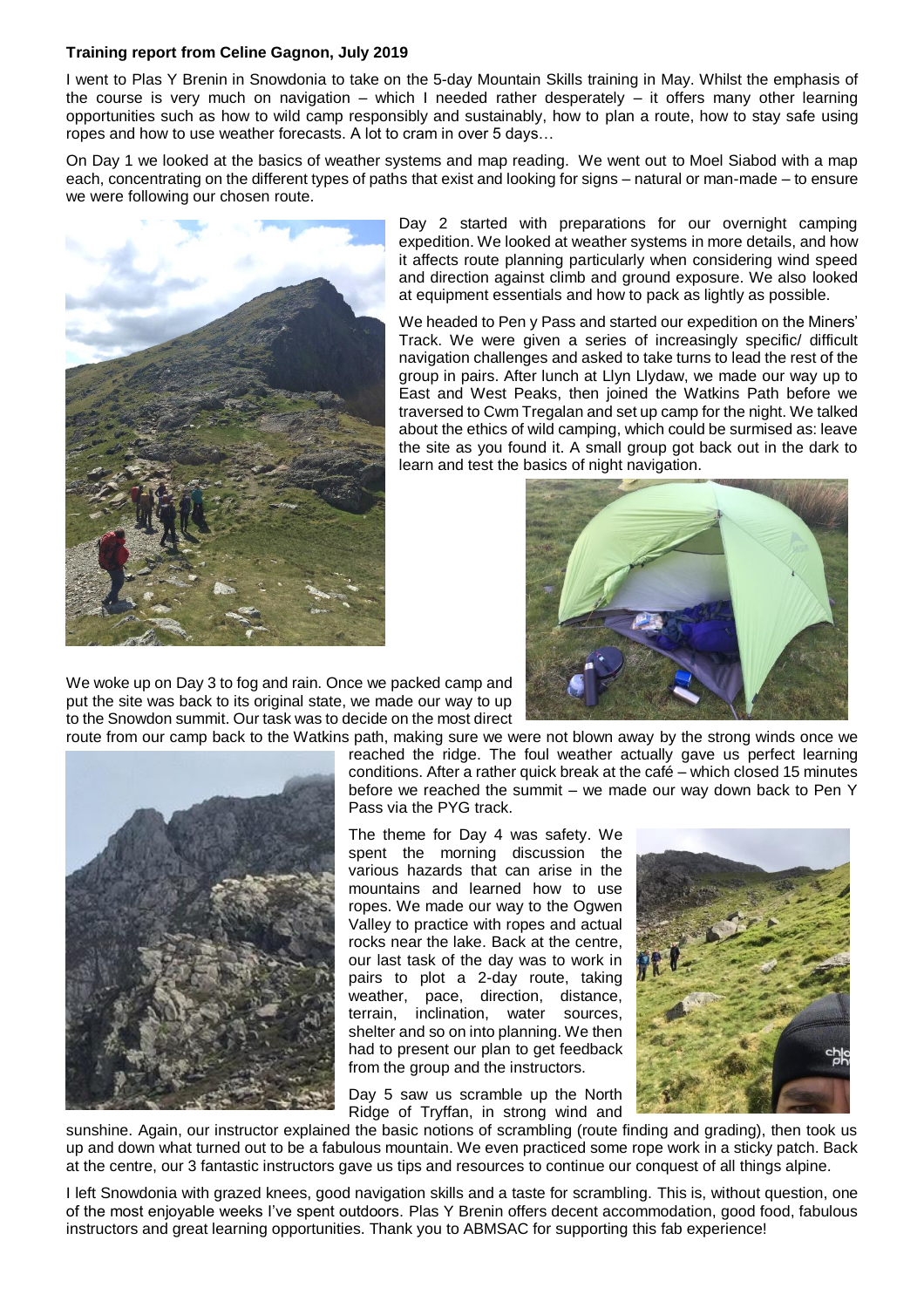## **Training report from Celine Gagnon, July 2019**

I went to Plas Y Brenin in Snowdonia to take on the 5-day Mountain Skills training in May. Whilst the emphasis of the course is very much on navigation – which I needed rather desperately – it offers many other learning opportunities such as how to wild camp responsibly and sustainably, how to plan a route, how to stay safe using ropes and how to use weather forecasts. A lot to cram in over 5 days…

On Day 1 we looked at the basics of weather systems and map reading. We went out to Moel Siabod with a map each, concentrating on the different types of paths that exist and looking for signs – natural or man-made – to ensure we were following our chosen route.



Day 2 started with preparations for our overnight camping expedition. We looked at weather systems in more details, and how it affects route planning particularly when considering wind speed and direction against climb and ground exposure. We also looked at equipment essentials and how to pack as lightly as possible.

We headed to Pen y Pass and started our expedition on the Miners' Track. We were given a series of increasingly specific/ difficult navigation challenges and asked to take turns to lead the rest of the group in pairs. After lunch at Llyn Llydaw, we made our way up to East and West Peaks, then joined the Watkins Path before we traversed to Cwm Tregalan and set up camp for the night. We talked about the ethics of wild camping, which could be surmised as: leave the site as you found it. A small group got back out in the dark to learn and test the basics of night navigation.



We woke up on Day 3 to fog and rain. Once we packed camp and put the site was back to its original state, we made our way to up to the Snowdon summit. Our task was to decide on the most direct



route from our camp back to the Watkins path, making sure we were not blown away by the strong winds once we reached the ridge. The foul weather actually gave us perfect learning conditions. After a rather quick break at the café – which closed 15 minutes before we reached the summit – we made our way down back to Pen Y Pass via the PYG track.

> The theme for Day 4 was safety. We spent the morning discussion the various hazards that can arise in the mountains and learned how to use ropes. We made our way to the Ogwen Valley to practice with ropes and actual rocks near the lake. Back at the centre, our last task of the day was to work in pairs to plot a 2-day route, taking weather, pace, direction, distance, terrain, inclination, water sources, shelter and so on into planning. We then had to present our plan to get feedback from the group and the instructors.

> Day 5 saw us scramble up the North Ridge of Tryffan, in strong wind and



sunshine. Again, our instructor explained the basic notions of scrambling (route finding and grading), then took us up and down what turned out to be a fabulous mountain. We even practiced some rope work in a sticky patch. Back at the centre, our 3 fantastic instructors gave us tips and resources to continue our conquest of all things alpine.

I left Snowdonia with grazed knees, good navigation skills and a taste for scrambling. This is, without question, one of the most enjoyable weeks I've spent outdoors. Plas Y Brenin offers decent accommodation, good food, fabulous instructors and great learning opportunities. Thank you to ABMSAC for supporting this fab experience!